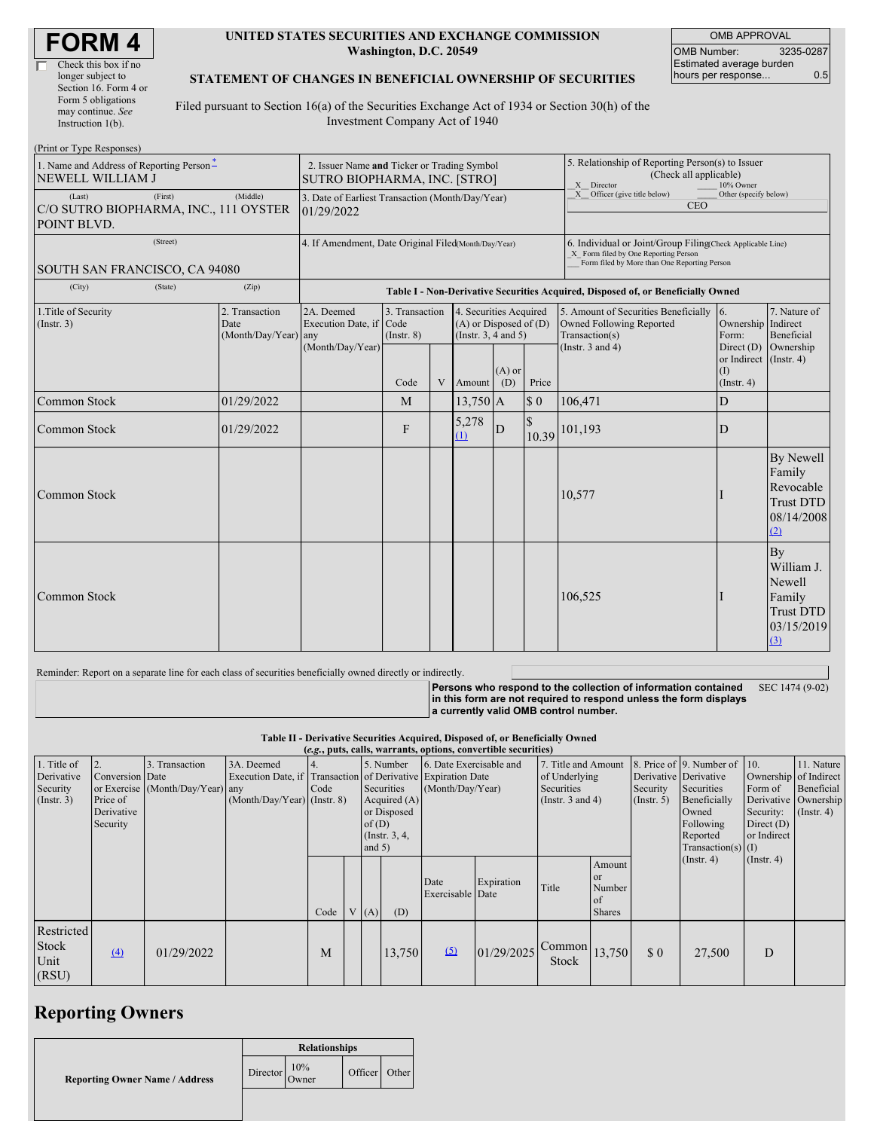| <b>FORM4</b> |
|--------------|
|--------------|

#### **UNITED STATES SECURITIES AND EXCHANGE COMMISSION Washington, D.C. 20549**

OMB APPROVAL OMB Number: 3235-0287 Estimated average burden hours per response... 0.5

### **STATEMENT OF CHANGES IN BENEFICIAL OWNERSHIP OF SECURITIES**

Filed pursuant to Section 16(a) of the Securities Exchange Act of 1934 or Section 30(h) of the Investment Company Act of 1940

| (Print or Type Responses)                                                             |         |                                                |                                                                                  |                                   |              |                                                                             |                 |                             |                                                                                                                                                    |                                                        |                                                                               |  |
|---------------------------------------------------------------------------------------|---------|------------------------------------------------|----------------------------------------------------------------------------------|-----------------------------------|--------------|-----------------------------------------------------------------------------|-----------------|-----------------------------|----------------------------------------------------------------------------------------------------------------------------------------------------|--------------------------------------------------------|-------------------------------------------------------------------------------|--|
| 1. Name and Address of Reporting Person*<br><b>NEWELL WILLIAM J</b>                   |         |                                                | 2. Issuer Name and Ticker or Trading Symbol<br>SUTRO BIOPHARMA, INC. [STRO]      |                                   |              |                                                                             |                 |                             | 5. Relationship of Reporting Person(s) to Issuer<br>(Check all applicable)<br>X Director<br>10% Owner                                              |                                                        |                                                                               |  |
| (Middle)<br>(First)<br>(Last)<br>C/O SUTRO BIOPHARMA, INC., 111 OYSTER<br>POINT BLVD. |         |                                                | 3. Date of Earliest Transaction (Month/Day/Year)<br>01/29/2022                   |                                   |              |                                                                             |                 |                             | $X$ Officer (give title below)<br><b>CEO</b>                                                                                                       | Other (specify below)                                  |                                                                               |  |
| (Street)                                                                              |         |                                                | 4. If Amendment, Date Original Filed(Month/Day/Year)                             |                                   |              |                                                                             |                 |                             | 6. Individual or Joint/Group Filing(Check Applicable Line)<br>X Form filed by One Reporting Person<br>Form filed by More than One Reporting Person |                                                        |                                                                               |  |
| SOUTH SAN FRANCISCO, CA 94080                                                         |         |                                                |                                                                                  |                                   |              |                                                                             |                 |                             |                                                                                                                                                    |                                                        |                                                                               |  |
| (City)                                                                                | (State) | (Zip)                                          | Table I - Non-Derivative Securities Acquired, Disposed of, or Beneficially Owned |                                   |              |                                                                             |                 |                             |                                                                                                                                                    |                                                        |                                                                               |  |
| 1. Title of Security<br>(Insert. 3)                                                   |         | 2. Transaction<br>Date<br>(Month/Day/Year) any | 2A. Deemed<br>Execution Date, if Code                                            | 3. Transaction<br>$($ Instr. $8)$ |              | 4. Securities Acquired<br>$(A)$ or Disposed of $(D)$<br>(Instr. 3, 4 and 5) |                 |                             | 5. Amount of Securities Beneficially<br>Owned Following Reported<br>Transaction(s)                                                                 | 16.<br>Ownership Indirect<br>Form:                     | 7. Nature of<br>Beneficial                                                    |  |
|                                                                                       |         |                                                | (Month/Day/Year)                                                                 | Code                              | $\mathbf{V}$ | Amount                                                                      | $(A)$ or<br>(D) | Price                       | (Instr. $3$ and $4$ )                                                                                                                              | Direct $(D)$<br>or Indirect<br>(1)<br>$($ Instr. 4 $)$ | Ownership<br>$($ Instr. 4 $)$                                                 |  |
| Common Stock                                                                          |         | 01/29/2022                                     |                                                                                  | M                                 |              | $13,750$ A                                                                  |                 | $\boldsymbol{\mathsf{S}}$ 0 | 106,471                                                                                                                                            | D                                                      |                                                                               |  |
| Common Stock                                                                          |         | 01/29/2022                                     |                                                                                  | F                                 |              | 5,278<br>(1)                                                                | ${\bf D}$       | 10.39                       | 101,193                                                                                                                                            | D                                                      |                                                                               |  |
| <b>Common Stock</b>                                                                   |         |                                                |                                                                                  |                                   |              |                                                                             |                 |                             | 10,577                                                                                                                                             |                                                        | By Newell<br>Family<br>Revocable<br><b>Trust DTD</b><br>08/14/2008<br>(2)     |  |
| Common Stock                                                                          |         |                                                |                                                                                  |                                   |              |                                                                             |                 |                             | 106,525                                                                                                                                            |                                                        | By<br>William J.<br>Newell<br>Family<br><b>Trust DTD</b><br>03/15/2019<br>(3) |  |

#### Reminder: Report on a separate line for each class of securities beneficially owned directly or indirectly.

**Persons who respond to the collection of information contained in this form are not required to respond unless the form displays a currently valid OMB control number.** SEC 1474 (9-02)

**Table II - Derivative Securities Acquired, Disposed of, or Beneficially Owned**

| (e.g., puts, calls, warrants, options, convertible securities) |                                                             |                                                    |                                                                                                           |      |  |                   |                                                                             |                                             |            |                                                                        |                                                                 |                                                  |                                                                                                                      |                                                                              |                                                                   |
|----------------------------------------------------------------|-------------------------------------------------------------|----------------------------------------------------|-----------------------------------------------------------------------------------------------------------|------|--|-------------------|-----------------------------------------------------------------------------|---------------------------------------------|------------|------------------------------------------------------------------------|-----------------------------------------------------------------|--------------------------------------------------|----------------------------------------------------------------------------------------------------------------------|------------------------------------------------------------------------------|-------------------------------------------------------------------|
| 1. Title of<br>Derivative<br>Security<br>(Insert. 3)           | 2.<br>Conversion Date<br>Price of<br>Derivative<br>Security | 3. Transaction<br>or Exercise (Month/Day/Year) any | 3A. Deemed<br>Execution Date, if Transaction of Derivative Expiration Date<br>(Month/Day/Year) (Instr. 8) | Code |  | of(D)<br>and $5)$ | 5. Number<br>Securities<br>Acquired $(A)$<br>or Disposed<br>(Instr. $3, 4,$ | 6. Date Exercisable and<br>(Month/Day/Year) |            | 7. Title and Amount<br>of Underlying<br>Securities<br>(Instr. 3 and 4) |                                                                 | Derivative Derivative<br>Security<br>(Insert. 5) | 8. Price of 9. Number of 10.<br>Securities<br>Beneficially<br>Owned<br>Following<br>Reported<br>$Transaction(s)$ (I) | Ownership of Indirect<br>Form of<br>Security:<br>Direct $(D)$<br>or Indirect | 11. Nature<br>Beneficial<br>Derivative Ownership<br>$($ Instr. 4) |
|                                                                |                                                             |                                                    |                                                                                                           | Code |  | (A)               | (D)                                                                         | Date<br>Exercisable Date                    | Expiration | Title                                                                  | Amount<br><b>or</b><br>Number<br><sub>of</sub><br><b>Shares</b> |                                                  | (Insert. 4)                                                                                                          | $($ Instr. 4 $)$                                                             |                                                                   |
| Restricted<br>Stock<br>Unit<br>(RSU)                           | $\left(4\right)$                                            | 01/29/2022                                         |                                                                                                           | M    |  |                   | 13,750                                                                      | (5)                                         | 01/29/2025 | Common<br>Stock                                                        | 13,750                                                          | \$0                                              | 27,500                                                                                                               | D                                                                            |                                                                   |

## **Reporting Owners**

|                                       | <b>Relationships</b> |              |         |       |  |  |  |
|---------------------------------------|----------------------|--------------|---------|-------|--|--|--|
| <b>Reporting Owner Name / Address</b> | Director             | 10%<br>Owner | Officer | Other |  |  |  |
|                                       |                      |              |         |       |  |  |  |